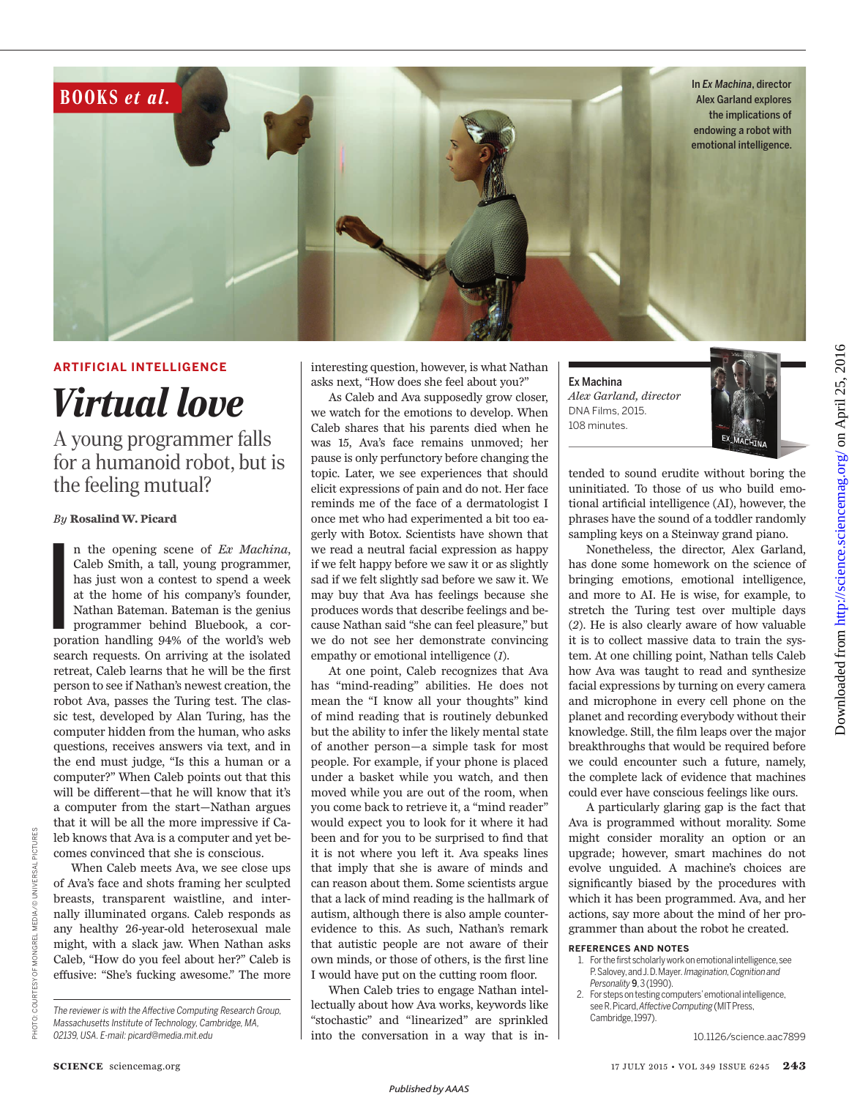

## **ARTIFICIAL INTELLIGENCE**

*Virtual love*

A young programmer falls for a humanoid robot, but is the feeling mutual?

## *By* **Rosalind W. Picard**

Po po n the opening scene of *Ex Machina*, Caleb Smith, a tall, young programmer, has just won a contest to spend a week at the home of his company's founder, Nathan Bateman. Bateman is the genius programmer behind Bluebook, a corporation handling 94% of the world's web search requests. On arriving at the isolated retreat, Caleb learns that he will be the first person to see if Nathan's newest creation, the robot Ava, passes the Turing test. The classic test, developed by Alan Turing, has the computer hidden from the human, who asks questions, receives answers via text, and in the end must judge, "Is this a human or a computer?" When Caleb points out that this will be different—that he will know that it's a computer from the start—Nathan argues that it will be all the more impressive if Caleb knows that Ava is a computer and yet becomes convinced that she is conscious.

When Caleb meets Ava, we see close ups of Ava's face and shots framing her sculpted breasts, transparent waistline, and internally illuminated organs. Caleb responds as any healthy 26-year-old heterosexual male might, with a slack jaw. When Nathan asks Caleb, "How do you feel about her?" Caleb is effusive: "She's fucking awesome." The more interesting question, however, is what Nathan asks next, "How does she feel about you?"

As Caleb and Ava supposedly grow closer, we watch for the emotions to develop. When Caleb shares that his parents died when he was 15, Ava's face remains unmoved; her pause is only perfunctory before changing the topic. Later, we see experiences that should elicit expressions of pain and do not. Her face reminds me of the face of a dermatologist I once met who had experimented a bit too eagerly with Botox. Scientists have shown that we read a neutral facial expression as happy if we felt happy before we saw it or as slightly sad if we felt slightly sad before we saw it. We may buy that Ava has feelings because she produces words that describe feelings and because Nathan said "she can feel pleasure," but we do not see her demonstrate convincing empathy or emotional intelligence (*1*).

At one point, Caleb recognizes that Ava has "mind-reading" abilities. He does not mean the "I know all your thoughts" kind of mind reading that is routinely debunked but the ability to infer the likely mental state of another person—a simple task for most people. For example, if your phone is placed under a basket while you watch, and then moved while you are out of the room, when you come back to retrieve it, a "mind reader" would expect you to look for it where it had been and for you to be surprised to find that it is not where you left it. Ava speaks lines that imply that she is aware of minds and can reason about them. Some scientists argue that a lack of mind reading is the hallmark of autism, although there is also ample counterevidence to this. As such, Nathan's remark that autistic people are not aware of their own minds, or those of others, is the first line I would have put on the cutting room floor.

When Caleb tries to engage Nathan intellectually about how Ava works, keywords like "stochastic" and "linearized" are sprinkled into the conversation in a way that is inEx Machina *Alex Garland, director* DNA Films, 2015. 108 minutes.



tended to sound erudite without boring the uninitiated. To those of us who build emotional artificial intelligence (AI), however, the phrases have the sound of a toddler randomly sampling keys on a Steinway grand piano.

Nonetheless, the director, Alex Garland, has done some homework on the science of bringing emotions, emotional intelligence, and more to AI. He is wise, for example, to stretch the Turing test over multiple days (*2*). He is also clearly aware of how valuable it is to collect massive data to train the system. At one chilling point, Nathan tells Caleb how Ava was taught to read and synthesize facial expressions by turning on every camera and microphone in every cell phone on the planet and recording everybody without their knowledge. Still, the film leaps over the major breakthroughs that would be required before we could encounter such a future, namely, the complete lack of evidence that machines could ever have conscious feelings like ours.

A particularly glaring gap is the fact that Ava is programmed without morality. Some might consider morality an option or an upgrade; however, smart machines do not evolve unguided. A machine's choices are significantly biased by the procedures with which it has been programmed. Ava, and her actions, say more about the mind of her programmer than about the robot he created.

## **REFERENCES AND NOTES**

- 1. For the first scholarly work on emotional intelligence, see P. Salovey, and J. D. Mayer. *Imagination, Cognition and Personality* 9, 3 (1990).
- 2. For steps on testing computers' emotional intelligence, see R. Picard, *Affective Computing* (MIT Press, Cambridge, 1997).

10.1126/science.aac7899

The reviewer is with the Affective Computing Research Group, *Massachusetts Institute of Technology, Cambridge, MA, 02139, USA. E-mail: picard@media.mit.edu*